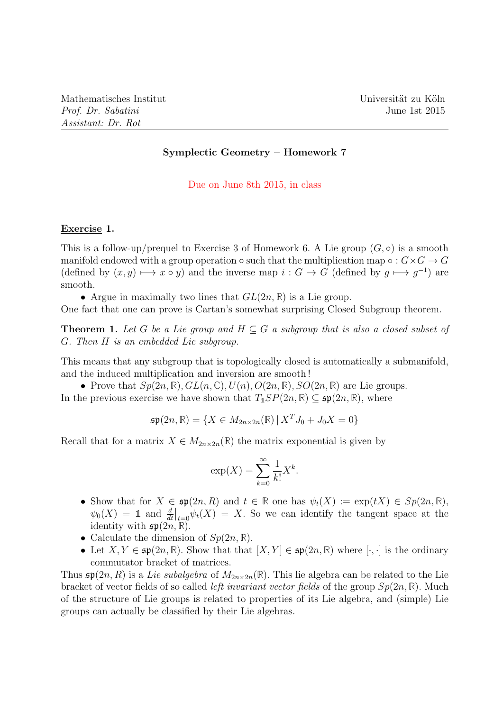## Symplectic Geometry – Homework 7

### Due on June 8th 2015, in class

### Exercise 1.

This is a follow-up/prequel to Exercise 3 of Homework 6. A Lie group  $(G, \circ)$  is a smooth manifold endowed with a group operation  $\circ$  such that the multiplication map  $\circ$  :  $G \times G \rightarrow G$ (defined by  $(x, y) \mapsto x \circ y$ ) and the inverse map  $i : G \to G$  (defined by  $g \mapsto g^{-1}$ ) are smooth.

• Argue in maximally two lines that  $GL(2n,\mathbb{R})$  is a Lie group.

One fact that one can prove is Cartan's somewhat surprising Closed Subgroup theorem.

**Theorem 1.** Let G be a Lie group and  $H \subseteq G$  a subgroup that is also a closed subset of G. Then H is an embedded Lie subgroup.

This means that any subgroup that is topologically closed is automatically a submanifold, and the induced multiplication and inversion are smooth !

• Prove that  $Sp(2n, \mathbb{R})$ ,  $GL(n, \mathbb{C})$ ,  $U(n)$ ,  $O(2n, \mathbb{R})$ ,  $SO(2n, \mathbb{R})$  are Lie groups. In the previous exercise we have shown that  $T_1SP(2n, \mathbb{R}) \subseteq \mathfrak{sp}(2n, \mathbb{R})$ , where

$$
\mathfrak{sp}(2n, \mathbb{R}) = \{ X \in M_{2n \times 2n}(\mathbb{R}) \, | \, X^T J_0 + J_0 X = 0 \}
$$

Recall that for a matrix  $X \in M_{2n \times 2n}(\mathbb{R})$  the matrix exponential is given by

$$
\exp(X) = \sum_{k=0}^{\infty} \frac{1}{k!} X^k.
$$

- Show that for  $X \in \mathfrak{sp}(2n, R)$  and  $t \in \mathbb{R}$  one has  $\psi_t(X) := \exp(tX) \in Sp(2n, \mathbb{R}),$  $\psi_0(X) = 1$  and  $\frac{d}{dt}\Big|_{t=0} \psi_t(X) = X$ . So we can identify the tangent space at the identity with  $\mathfrak{sp}(2n,\mathbb{R})$ .
- Calculate the dimension of  $Sp(2n,\mathbb{R})$ .
- Let  $X, Y \in \mathfrak{sp}(2n, \mathbb{R})$ . Show that that  $[X, Y] \in \mathfrak{sp}(2n, \mathbb{R})$  where  $[\cdot, \cdot]$  is the ordinary commutator bracket of matrices.

Thus  $\mathfrak{sp}(2n, R)$  is a Lie subalgebra of  $M_{2n \times 2n}(\mathbb{R})$ . This lie algebra can be related to the Lie bracket of vector fields of so called left invariant vector fields of the group Sp(2n, **R**). Much of the structure of Lie groups is related to properties of its Lie algebra, and (simple) Lie groups can actually be classified by their Lie algebras.